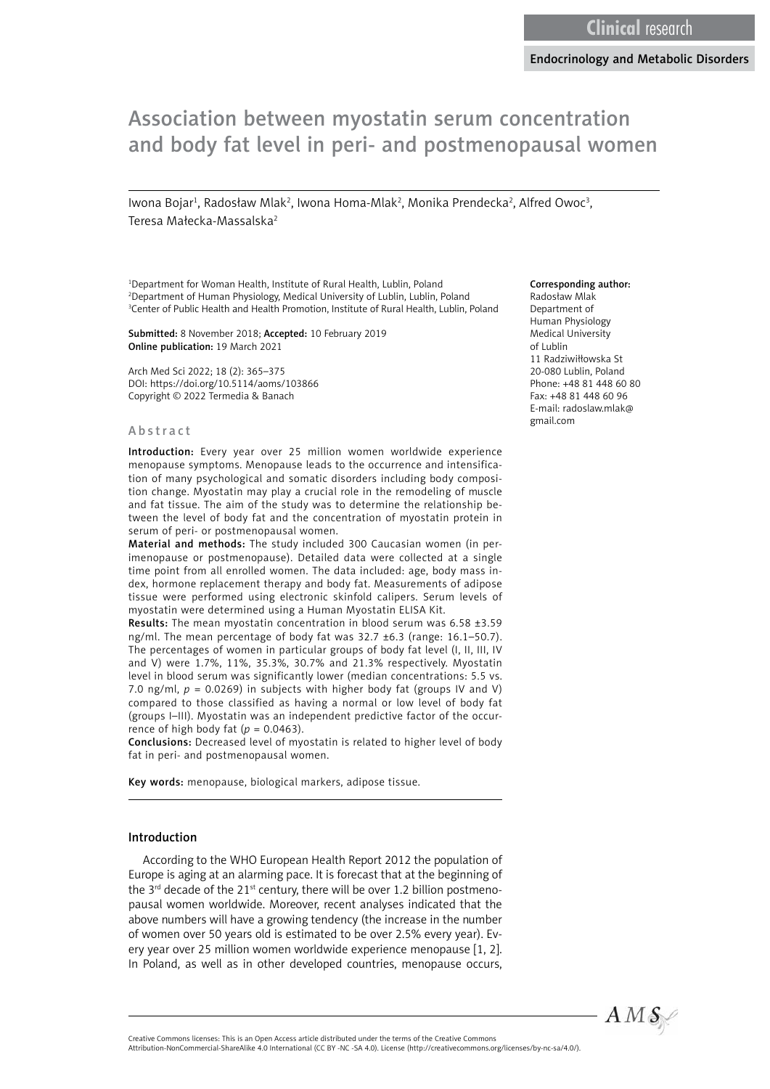# Association between myostatin serum concentration and body fat level in peri- and postmenopausal women

lwona Bojar<sup>1</sup>, Radosław Mlak<sup>2</sup>, Iwona Homa-Mlak<sup>2</sup>, Monika Prendecka<sup>2</sup>, Alfred Owoc<sup>3</sup>, Teresa Małecka-Massalska2

<sup>1</sup>Department for Woman Health, Institute of Rural Health, Lublin, Poland 2 Department of Human Physiology, Medical University of Lublin, Lublin, Poland 3 Center of Public Health and Health Promotion, Institute of Rural Health, Lublin, Poland

Submitted: 8 November 2018; Accepted: 10 February 2019 Online publication: 19 March 2021

Arch Med Sci 2022; 18 (2): 365–375 DOI: https://doi.org/10.5114/aoms/103866 Copyright © 2022 Termedia & Banach

#### Abstract

Introduction: Every year over 25 million women worldwide experience menopause symptoms. Menopause leads to the occurrence and intensification of many psychological and somatic disorders including body composition change. Myostatin may play a crucial role in the remodeling of muscle and fat tissue. The aim of the study was to determine the relationship between the level of body fat and the concentration of myostatin protein in serum of peri- or postmenopausal women.

Material and methods: The study included 300 Caucasian women (in perimenopause or postmenopause). Detailed data were collected at a single time point from all enrolled women. The data included: age, body mass index, hormone replacement therapy and body fat. Measurements of adipose tissue were performed using electronic skinfold calipers. Serum levels of myostatin were determined using a Human Myostatin ELISA Kit.

Results: The mean myostatin concentration in blood serum was 6.58 ±3.59 ng/ml. The mean percentage of body fat was 32.7 ±6.3 (range: 16.1–50.7). The percentages of women in particular groups of body fat level (I, II, III, IV and V) were 1.7%, 11%, 35.3%, 30.7% and 21.3% respectively. Myostatin level in blood serum was significantly lower (median concentrations: 5.5 vs. 7.0 ng/ml,  $p = 0.0269$ ) in subjects with higher body fat (groups IV and V) compared to those classified as having a normal or low level of body fat (groups I–III). Myostatin was an independent predictive factor of the occurrence of high body fat  $(p = 0.0463)$ .

Conclusions: Decreased level of myostatin is related to higher level of body fat in peri- and postmenopausal women.

Key words: menopause, biological markers, adipose tissue.

#### Introduction

According to the WHO European Health Report 2012 the population of Europe is aging at an alarming pace. It is forecast that at the beginning of the  $3^{rd}$  decade of the 21<sup>st</sup> century, there will be over 1.2 billion postmenopausal women worldwide. Moreover, recent analyses indicated that the above numbers will have a growing tendency (the increase in the number of women over 50 years old is estimated to be over 2.5% every year). Every year over 25 million women worldwide experience menopause [1, 2]. In Poland, as well as in other developed countries, menopause occurs,

#### Corresponding author:

Radosław Mlak Department of Human Physiology Medical University of Lublin 11 Radziwiłłowska St 20-080 Lublin, Poland Phone: +48 81 448 60 80 Fax: +48 81 448 60 96 E-mail: [radoslaw.mlak@](mailto:radoslaw.mlak@gmail.com) [gmail.com](mailto:radoslaw.mlak@gmail.com) 



Attribution-NonCommercial-ShareAlike 4.0 International (CC BY -NC -SA 4.0). License (http://creativecommons.org/licenses/by-nc-sa/4.0/).

Creative Commons licenses: This is an Open Access article distributed under the terms of the Creative Commons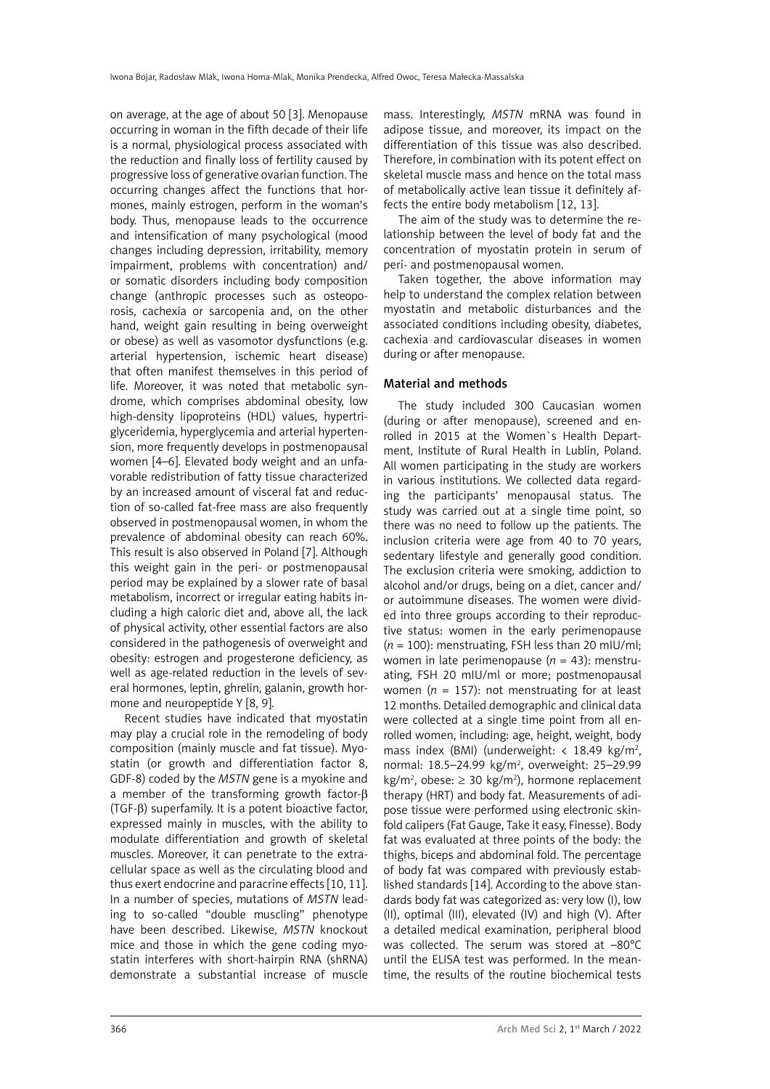on average, at the age of about 50 [3]. Menopause occurring in woman in the fifth decade of their life is a normal, physiological process associated with the reduction and finally loss of fertility caused by progressive loss of generative ovarian function. The occurring changes affect the functions that hormones, mainly estrogen, perform in the woman's body. Thus, menopause leads to the occurrence and intensification of many psychological (mood changes including depression, irritability, memory impairment, problems with concentration) and/ or somatic disorders including body composition change (anthropic processes such as osteoporosis, cachexia or sarcopenia and, on the other hand, weight gain resulting in being overweight or obese) as well as vasomotor dysfunctions (e.g. arterial hypertension, ischemic heart disease) that often manifest themselves in this period of life. Moreover, it was noted that metabolic syndrome, which comprises abdominal obesity, low high-density lipoproteins (HDL) values, hypertriglyceridemia, hyperglycemia and arterial hypertension, more frequently develops in postmenopausal women [4–6]. Elevated body weight and an unfavorable redistribution of fatty tissue characterized by an increased amount of visceral fat and reduction of so-called fat-free mass are also frequently observed in postmenopausal women, in whom the prevalence of abdominal obesity can reach 60%. This result is also observed in Poland [7]. Although this weight gain in the peri- or postmenopausal period may be explained by a slower rate of basal metabolism, incorrect or irregular eating habits including a high caloric diet and, above all, the lack of physical activity, other essential factors are also considered in the pathogenesis of overweight and obesity: estrogen and progesterone deficiency, as well as age-related reduction in the levels of several hormones, leptin, ghrelin, galanin, growth hormone and neuropeptide Y [8, 9].

Recent studies have indicated that myostatin may play a crucial role in the remodeling of body composition (mainly muscle and fat tissue). Myostatin (or growth and differentiation factor 8, GDF-8) coded by the *MSTN* gene is a myokine and a member of the transforming growth factor-β (TGF-β) superfamily. It is a potent bioactive factor, expressed mainly in muscles, with the ability to modulate differentiation and growth of skeletal muscles. Moreover, it can penetrate to the extracellular space as well as the circulating blood and thus exert endocrine and paracrine effects [10, 11]. In a number of species, mutations of *MSTN* leading to so-called "double muscling" phenotype have been described. Likewise, *MSTN* knockout mice and those in which the gene coding myostatin interferes with short-hairpin RNA (shRNA) demonstrate a substantial increase of muscle mass. Interestingly, *MSTN* mRNA was found in adipose tissue, and moreover, its impact on the differentiation of this tissue was also described. Therefore, in combination with its potent effect on skeletal muscle mass and hence on the total mass of metabolically active lean tissue it definitely affects the entire body metabolism [12, 13].

The aim of the study was to determine the relationship between the level of body fat and the concentration of myostatin protein in serum of peri- and postmenopausal women.

Taken together, the above information may help to understand the complex relation between myostatin and metabolic disturbances and the associated conditions including obesity, diabetes, cachexia and cardiovascular diseases in women during or after menopause.

# Material and methods

The study included 300 Caucasian women (during or after menopause), screened and enrolled in 2015 at the Women`s Health Department, Institute of Rural Health in Lublin, Poland. All women participating in the study are workers in various institutions. We collected data regarding the participants' menopausal status. The study was carried out at a single time point, so there was no need to follow up the patients. The inclusion criteria were age from 40 to 70 years, sedentary lifestyle and generally good condition. The exclusion criteria were smoking, addiction to alcohol and/or drugs, being on a diet, cancer and/ or autoimmune diseases. The women were divided into three groups according to their reproductive status: women in the early perimenopause  $(n = 100)$ : menstruating, FSH less than 20 mIU/ml; women in late perimenopause (*n* = 43): menstruating, FSH 20 mIU/ml or more; postmenopausal women  $(n = 157)$ : not menstruating for at least 12 months. Detailed demographic and clinical data were collected at a single time point from all enrolled women, including: age, height, weight, body mass index (BMI) (underweight:  $<$  18.49 kg/m<sup>2</sup>, normal: 18.5-24.99 kg/m<sup>2</sup>, overweight: 25-29.99  $kg/m^2$ , obese:  $\geq$  30 kg/m<sup>2</sup>), hormone replacement therapy (HRT) and body fat. Measurements of adipose tissue were performed using electronic skinfold calipers (Fat Gauge, Take it easy, Finesse). Body fat was evaluated at three points of the body: the thighs, biceps and abdominal fold. The percentage of body fat was compared with previously established standards [14]. According to the above standards body fat was categorized as: very low (I), low (II), optimal (III), elevated (IV) and high (V). After a detailed medical examination, peripheral blood was collected. The serum was stored at –80°C until the ELISA test was performed. In the meantime, the results of the routine biochemical tests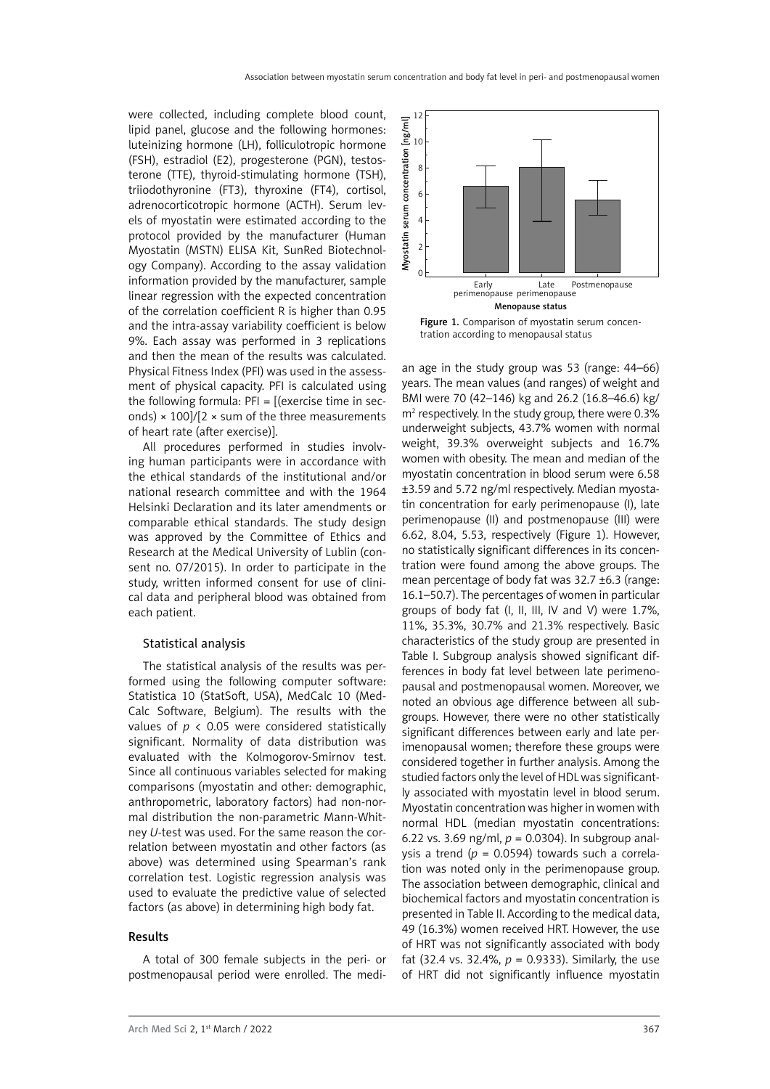were collected, including complete blood count, lipid panel, glucose and the following hormones: luteinizing hormone (LH), folliculotropic hormone (FSH), estradiol (E2), progesterone (PGN), testosterone (TTE), thyroid-stimulating hormone (TSH), triiodothyronine (FT3), thyroxine (FT4), cortisol, adrenocorticotropic hormone (ACTH). Serum levels of myostatin were estimated according to the protocol provided by the manufacturer (Human Myostatin (MSTN) ELISA Kit, SunRed Biotechnology Company). According to the assay validation information provided by the manufacturer, sample linear regression with the expected concentration of the correlation coefficient R is higher than 0.95 and the intra-assay variability coefficient is below 9%. Each assay was performed in 3 replications and then the mean of the results was calculated. Physical Fitness Index (PFI) was used in the assessment of physical capacity. PFI is calculated using the following formula:  $PFI = [(exercise time in sec$ onds)  $\times$  100]/[2  $\times$  sum of the three measurements of heart rate (after exercise)].

All procedures performed in studies involving human participants were in accordance with the ethical standards of the institutional and/or national research committee and with the 1964 Helsinki Declaration and its later amendments or comparable ethical standards. The study design was approved by the Committee of Ethics and Research at the Medical University of Lublin (consent no. 07/2015). In order to participate in the study, written informed consent for use of clinical data and peripheral blood was obtained from each patient.

# Statistical analysis

The statistical analysis of the results was performed using the following computer software: Statistica 10 (StatSoft, USA), MedCalc 10 (Med-Calc Software, Belgium). The results with the values of *p* < 0.05 were considered statistically significant. Normality of data distribution was evaluated with the Kolmogorov-Smirnov test. Since all continuous variables selected for making comparisons (myostatin and other: demographic, anthropometric, laboratory factors) had non-normal distribution the non-parametric Mann-Whitney *U*-test was used. For the same reason the correlation between myostatin and other factors (as above) was determined using Spearman's rank correlation test. Logistic regression analysis was used to evaluate the predictive value of selected factors (as above) in determining high body fat.

#### Results

A total of 300 female subjects in the peri- or postmenopausal period were enrolled. The medi-



Figure 1. Comparison of myostatin serum concentration according to menopausal status

an age in the study group was 53 (range: 44–66) years. The mean values (and ranges) of weight and BMI were 70 (42–146) kg and 26.2 (16.8–46.6) kg/ m2 respectively. In the study group, there were 0.3% underweight subjects, 43.7% women with normal weight, 39.3% overweight subjects and 16.7% women with obesity. The mean and median of the myostatin concentration in blood serum were 6.58 ±3.59 and 5.72 ng/ml respectively. Median myostatin concentration for early perimenopause (I), late perimenopause (II) and postmenopause (III) were 6.62, 8.04, 5.53, respectively (Figure 1). However, no statistically significant differences in its concentration were found among the above groups. The mean percentage of body fat was 32.7 ±6.3 (range: 16.1–50.7). The percentages of women in particular groups of body fat (I, II, III, IV and V) were 1.7%, 11%, 35.3%, 30.7% and 21.3% respectively. Basic characteristics of the study group are presented in Table I. Subgroup analysis showed significant differences in body fat level between late perimenopausal and postmenopausal women. Moreover, we noted an obvious age difference between all subgroups. However, there were no other statistically significant differences between early and late perimenopausal women; therefore these groups were considered together in further analysis. Among the studied factors only the level of HDL was significantly associated with myostatin level in blood serum. Myostatin concentration was higher in women with normal HDL (median myostatin concentrations: 6.22 vs. 3.69 ng/ml,  $p = 0.0304$ ). In subgroup analysis a trend (*p* = 0.0594) towards such a correlation was noted only in the perimenopause group. The association between demographic, clinical and biochemical factors and myostatin concentration is presented in Table II. According to the medical data, 49 (16.3%) women received HRT. However, the use of HRT was not significantly associated with body fat (32.4 vs. 32.4%,  $p = 0.9333$ ). Similarly, the use of HRT did not significantly influence myostatin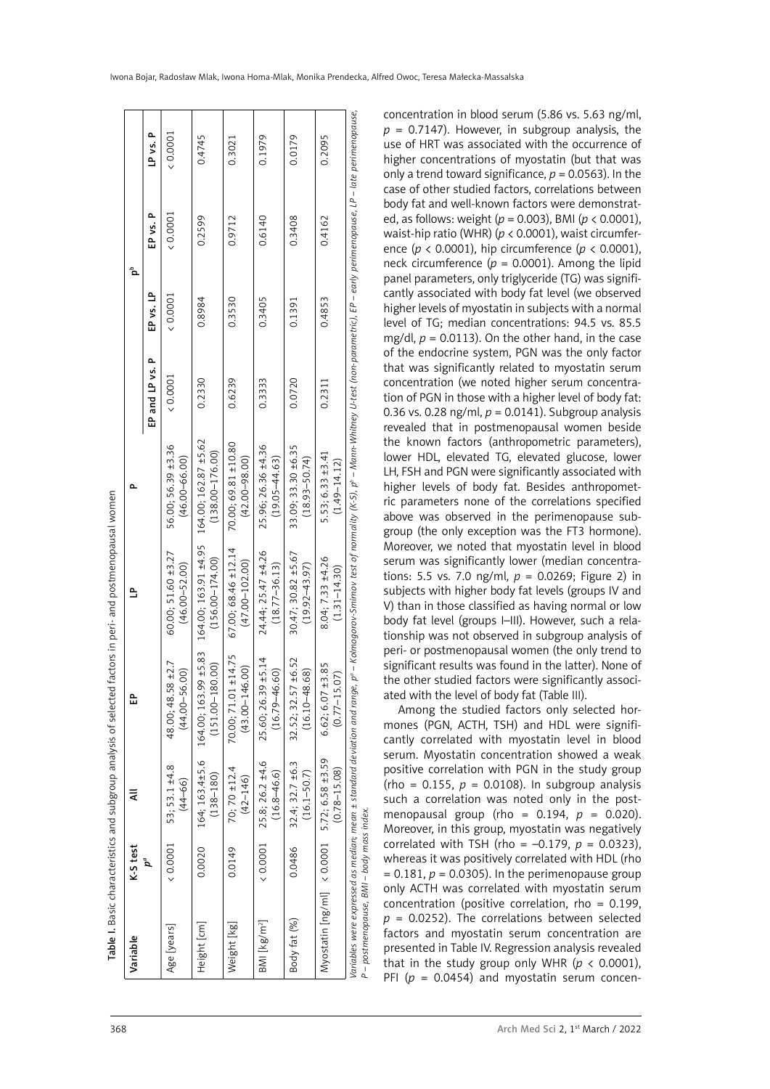| Variable |                       | Age [years]                             | Height [cm]                                        | Weight [kg]                                  | $BM$ [kg/m <sup>2</sup> ]                       | Body fat (%)                                 | Myostatin [ng/ml]                             |
|----------|-----------------------|-----------------------------------------|----------------------------------------------------|----------------------------------------------|-------------------------------------------------|----------------------------------------------|-----------------------------------------------|
| K-S test | $\boldsymbol{\rho}^a$ | 0.0001                                  | 0.0020                                             | 0.0149                                       | (0.0001)                                        | 0.0486                                       | (0.0001)                                      |
| ₹        |                       | 53; 53.1 ±4.8<br>$(44 - 66)$            | 164; 163.4±5.6<br>$(138 - 180)$                    | 70; 70 $\pm$ 12.4<br>$(42 - 146)$            | 25.8; 26.2 ±4.6<br>$(16.8 - 46.6)$              | 32.4; 32.7 ±6.3<br>$(16.1 - 50.7)$           | $5.72; 6.58 \pm 3.59$<br>$(0.78 - 15.08)$     |
| 읎        |                       | 48.00; 48.58 ±2.7<br>$(44.00 - 56.00)$  | $99 + 5.83$<br>$(151.00 - 180.00)$<br>164.00; 163. | ±14.75<br>$(43.00 - 146.00)$<br>70.00; 71.01 | $9 + 5.14$<br>$(16.79 - 46.60)$<br>25.60; 26.39 | 7 ± 6.52<br>$(16.10 - 48.68)$<br>32.52; 32.5 | ±3.85<br>(50)<br>$6.62; 6.07 \pm (0.77 - 15.$ |
| ≙        |                       | 60.00; 51.60 ±3.27<br>$(46.00 - 52.00)$ | 164.00; 163.91 ±4.95<br>$(156.00 - 174.00)$        | 67.00; 68.46 ±12.14<br>$(47.00 - 102.00)$    | 24.44; 25.47 ±4.26<br>$(18.77 - 36.13)$         | 30.47; 30.82 ±5.67<br>$(19.92 - 43.97)$      | 8.04; 7.33 ±4.26<br>$(1.31 - 14.30)$          |
| Δ.       |                       | 56.00; 56.39 ±3.36<br>$(46.00 - 66.00)$ | ±5.62<br>$(138.00 - 176.00)$<br>164.00; 162.87     | 70.00; 69.81 ±10.80<br>$(42.00 - 98.00)$     | 25.96; 26.36 ±4.36<br>$(19.05 - 44.63)$         | 33.09; 33.30 ±6.35<br>$(18.93 - 50.74)$      | $5.53; 6.33 \pm 3.41$<br>$(1.49 - 14.12)$     |
|          | ௨<br>EP and LP vs.    | 0.0001                                  | 0.2330                                             | 0.6239                                       | 0.3333                                          | 0.0720                                       | 0.2311                                        |
|          | EP vs. LP             | (0.0001)                                | 0.8984                                             | 0.3530                                       | 0.3405                                          | 0.1391                                       | 0.4853                                        |
| مُ       | EP vs. P              | (0.0001)                                | 0.2599                                             | 0.9712                                       | 0.6140                                          | 0.3408                                       | 0.4162                                        |
|          | LP vs. P              | 0.0001                                  | 0.4745                                             | 0.3021                                       | 0.1979                                          | 0.0179                                       | 0.2095                                        |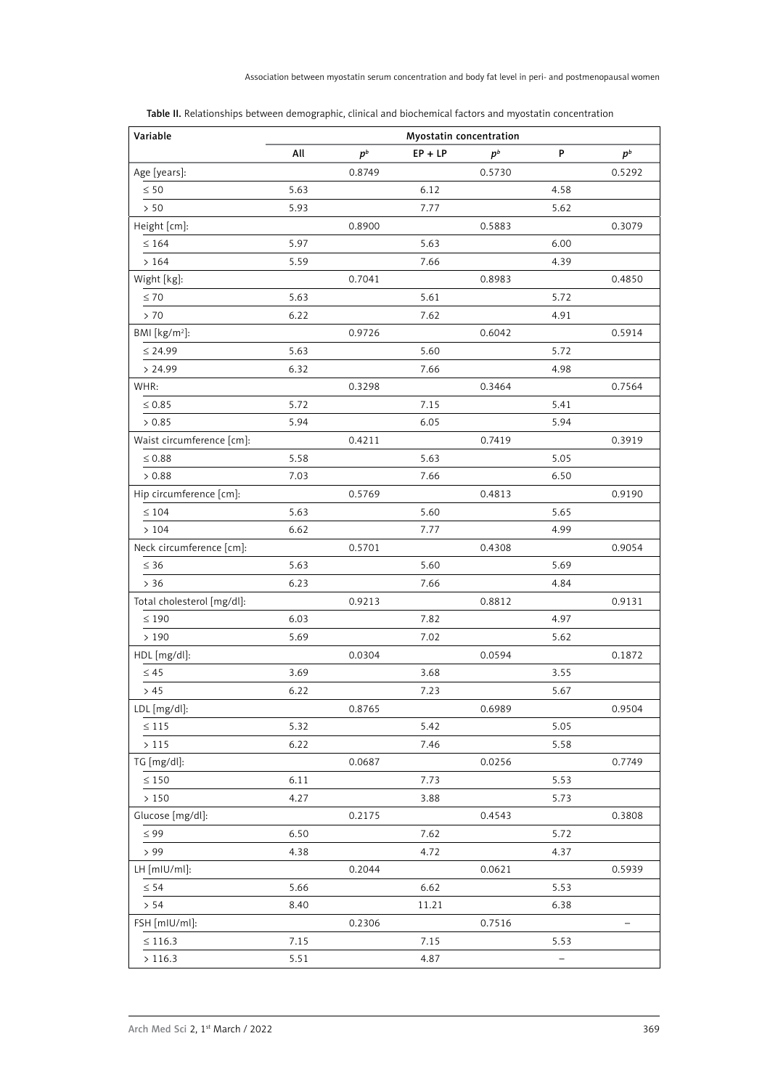| Variable                   |      |        | Myostatin concentration |        |                |        |
|----------------------------|------|--------|-------------------------|--------|----------------|--------|
|                            | All  | $p^b$  | $EP + LP$               | $p^b$  | P              | $p^b$  |
| Age [years]:               |      | 0.8749 |                         | 0.5730 |                | 0.5292 |
| $\leq 50$                  | 5.63 |        | 6.12                    |        | 4.58           |        |
| > 50                       | 5.93 |        | 7.77                    |        | 5.62           |        |
| Height [cm]:               |      | 0.8900 |                         | 0.5883 |                | 0.3079 |
| $\leq 164$                 | 5.97 |        | 5.63                    |        | 6.00           |        |
| >164                       | 5.59 |        | 7.66                    |        | 4.39           |        |
| Wight [kg]:                |      | 0.7041 |                         | 0.8983 |                | 0.4850 |
| $\leq 70$                  | 5.63 |        | 5.61                    |        | 5.72           |        |
| > 70                       | 6.22 |        | 7.62                    |        | 4.91           |        |
| BMI [kg/m <sup>2</sup> ]:  |      | 0.9726 |                         | 0.6042 |                | 0.5914 |
| $\leq 24.99$               | 5.63 |        | 5.60                    |        | 5.72           |        |
| > 24.99                    | 6.32 |        | 7.66                    |        | 4.98           |        |
| WHR:                       |      | 0.3298 |                         | 0.3464 |                | 0.7564 |
| $\leq 0.85$                | 5.72 |        | 7.15                    |        | 5.41           |        |
| > 0.85                     | 5.94 |        | 6.05                    |        | 5.94           |        |
| Waist circumference [cm]:  |      | 0.4211 |                         | 0.7419 |                | 0.3919 |
| $\leq 0.88$                | 5.58 |        | 5.63                    |        | 5.05           |        |
| > 0.88                     | 7.03 |        | 7.66                    |        | 6.50           |        |
| Hip circumference [cm]:    |      | 0.5769 |                         | 0.4813 |                | 0.9190 |
| $\leq 104$                 | 5.63 |        | 5.60                    |        | 5.65           |        |
| >104                       | 6.62 |        | 7.77                    |        | 4.99           |        |
| Neck circumference [cm]:   |      | 0.5701 |                         | 0.4308 |                | 0.9054 |
| $\leq 36$                  | 5.63 |        | 5.60                    |        | 5.69           |        |
| $> 36$                     | 6.23 |        | 7.66                    |        | 4.84           |        |
| Total cholesterol [mg/dl]: |      | 0.9213 |                         | 0.8812 |                | 0.9131 |
| $\leq 190$                 | 6.03 |        | 7.82                    |        | 4.97           |        |
| >190                       | 5.69 |        | 7.02                    |        | 5.62           |        |
| HDL [mg/dl]:               |      | 0.0304 |                         | 0.0594 |                | 0.1872 |
| $\leq 45$                  | 3.69 |        | 3.68                    |        | 3.55           |        |
| > 45                       | 6.22 |        | 7.23                    |        | 5.67           |        |
| LDL [mg/dl]:               |      | 0.8765 |                         | 0.6989 |                | 0.9504 |
| $\leq 115$                 | 5.32 |        | 5.42                    |        | 5.05           |        |
| $>115$                     | 6.22 |        | 7.46                    |        | 5.58           |        |
| TG [mg/dl]:                |      | 0.0687 |                         | 0.0256 |                | 0.7749 |
| $\leq 150$                 | 6.11 |        | 7.73                    |        | 5.53           |        |
| $>150\,$                   | 4.27 |        | 3.88                    |        | 5.73           |        |
| Glucose [mg/dl]:           |      | 0.2175 |                         | 0.4543 |                | 0.3808 |
| $\leq 99$                  | 6.50 |        | 7.62                    |        | 5.72           |        |
| > 99                       | 4.38 |        | 4.72                    |        | 4.37           |        |
| LH [mIU/ml]:               |      | 0.2044 |                         | 0.0621 |                | 0.5939 |
| $\leq 54$                  | 5.66 |        | 6.62                    |        | 5.53           |        |
| > 54                       | 8.40 |        | 11.21                   |        | 6.38           |        |
| FSH [mIU/ml]:              |      | 0.2306 |                         | 0.7516 |                |        |
| $\leq 116.3$               | 7.15 |        | 7.15                    |        | 5.53           |        |
| >116.3                     | 5.51 |        | 4.87                    |        | $\overline{a}$ |        |

Table II. Relationships between demographic, clinical and biochemical factors and myostatin concentration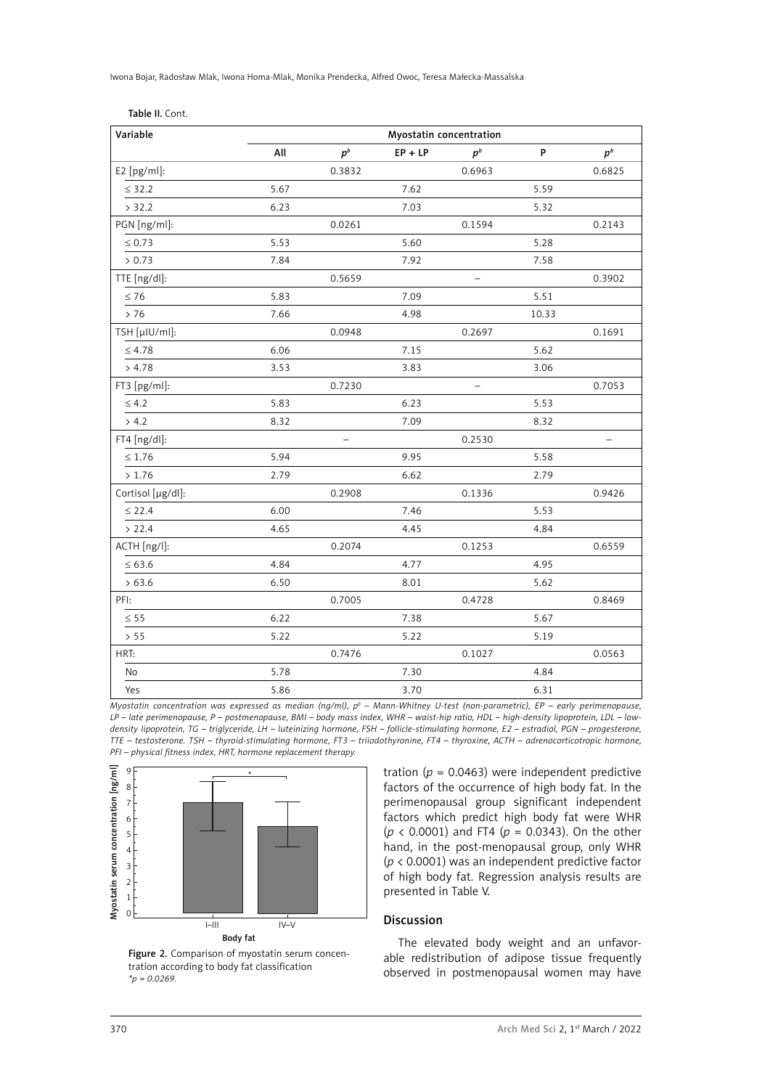Iwona Bojar, Radosław Mlak, Iwona Homa-Mlak, Monika Prendecka, Alfred Owoc, Teresa Małecka-Massalska

| Variable          | Myostatin concentration |                          |           |        |       |        |  |  |  |
|-------------------|-------------------------|--------------------------|-----------|--------|-------|--------|--|--|--|
|                   | All                     | $p^b$                    | $EP + LP$ | $p^b$  | P     | $p^b$  |  |  |  |
| E2 [pg/ml]:       |                         | 0.3832                   |           | 0.6963 |       | 0.6825 |  |  |  |
| $\leq$ 32.2       | 5.67                    |                          | 7.62      |        | 5.59  |        |  |  |  |
| > 32.2            | 6.23                    |                          | 7.03      |        | 5.32  |        |  |  |  |
| PGN [ng/ml]:      |                         | 0.0261                   |           | 0.1594 |       | 0.2143 |  |  |  |
| $\leq 0.73$       | 5.53                    |                          | 5.60      |        | 5.28  |        |  |  |  |
| > 0.73            | 7.84                    |                          | 7.92      |        | 7.58  |        |  |  |  |
| TTE [ng/dl]:      |                         | 0.5659                   |           | —      |       | 0.3902 |  |  |  |
| $\leq 76$         | 5.83                    |                          | 7.09      |        | 5.51  |        |  |  |  |
| > 76              | 7.66                    |                          | 4.98      |        | 10.33 |        |  |  |  |
| TSH [µIU/ml]:     |                         | 0.0948                   |           | 0.2697 |       | 0.1691 |  |  |  |
| $\leq 4.78$       | 6.06                    |                          | 7.15      |        | 5.62  |        |  |  |  |
| > 4.78            | 3.53                    |                          | 3.83      |        | 3.06  |        |  |  |  |
| FT3 [pg/ml]:      |                         | 0.7230                   |           |        |       | 0.7053 |  |  |  |
| $\leq 4.2$        | 5.83                    |                          | 6.23      |        | 5.53  |        |  |  |  |
| > 4.2             | 8.32                    |                          | 7.09      |        | 8.32  |        |  |  |  |
| FT4 [ng/dl]:      |                         | $\overline{\phantom{0}}$ |           | 0.2530 |       |        |  |  |  |
| $\leq 1.76$       | 5.94                    |                          | 9.95      |        | 5.58  |        |  |  |  |
| > 1.76            | 2.79                    |                          | 6.62      |        | 2.79  |        |  |  |  |
| Cortisol [µg/dl]: |                         | 0.2908                   |           | 0.1336 |       | 0.9426 |  |  |  |
| $\leq 22.4$       | 6.00                    |                          | 7.46      |        | 5.53  |        |  |  |  |
| > 22.4            | 4.65                    |                          | 4.45      |        | 4.84  |        |  |  |  |
| ACTH [ng/l]:      |                         | 0.2074                   |           | 0.1253 |       | 0.6559 |  |  |  |
| $\leq 63.6$       | 4.84                    |                          | 4.77      |        | 4.95  |        |  |  |  |
| > 63.6            | 6.50                    |                          | 8.01      |        | 5.62  |        |  |  |  |
| PFI:              |                         | 0.7005                   |           | 0.4728 |       | 0.8469 |  |  |  |
| $\leq 55$         | 6.22                    |                          | 7.38      |        | 5.67  |        |  |  |  |
| > 55              | 5.22                    |                          | 5.22      |        | 5.19  |        |  |  |  |
| HRT:              |                         | 0.7476                   |           | 0.1027 |       | 0.0563 |  |  |  |
| No                | 5.78                    |                          | 7.30      |        | 4.84  |        |  |  |  |
| Yes               | 5.86                    |                          | 3.70      |        | 6.31  |        |  |  |  |

Myostatin concentration was expressed as median (ng/ml), p<sup>p</sup> – Mann-Whitney U-test (non-parametric), EP – early perimenopause, *LP – late perimenopause, P – postmenopause, BMI – body mass index, WHR – waist-hip ratio, HDL – high-density lipoprotein, LDL – lowdensity lipoprotein, TG – triglyceride, LH – luteinizing hormone, FSH – follicle-stimulating hormone, E2 – estradiol, PGN – progesterone, TTE – testosterone. TSH – thyroid-stimulating hormone, FT3 – triiodothyronine, FT4 – thyroxine, ACTH – adrenocorticotropic hormone, PFI – physical fitness index, HRT, hormone replacement therapy.*



Figure 2. Comparison of myostatin serum concentration according to body fat classification *\*p = 0.0269.*

tration ( $p = 0.0463$ ) were independent predictive factors of the occurrence of high body fat. In the perimenopausal group significant independent factors which predict high body fat were WHR (*p* < 0.0001) and FT4 (*p* = 0.0343). On the other hand, in the post-menopausal group, only WHR (*p* < 0.0001) was an independent predictive factor of high body fat. Regression analysis results are presented in Table V.

## Discussion

The elevated body weight and an unfavorable redistribution of adipose tissue frequently observed in postmenopausal women may have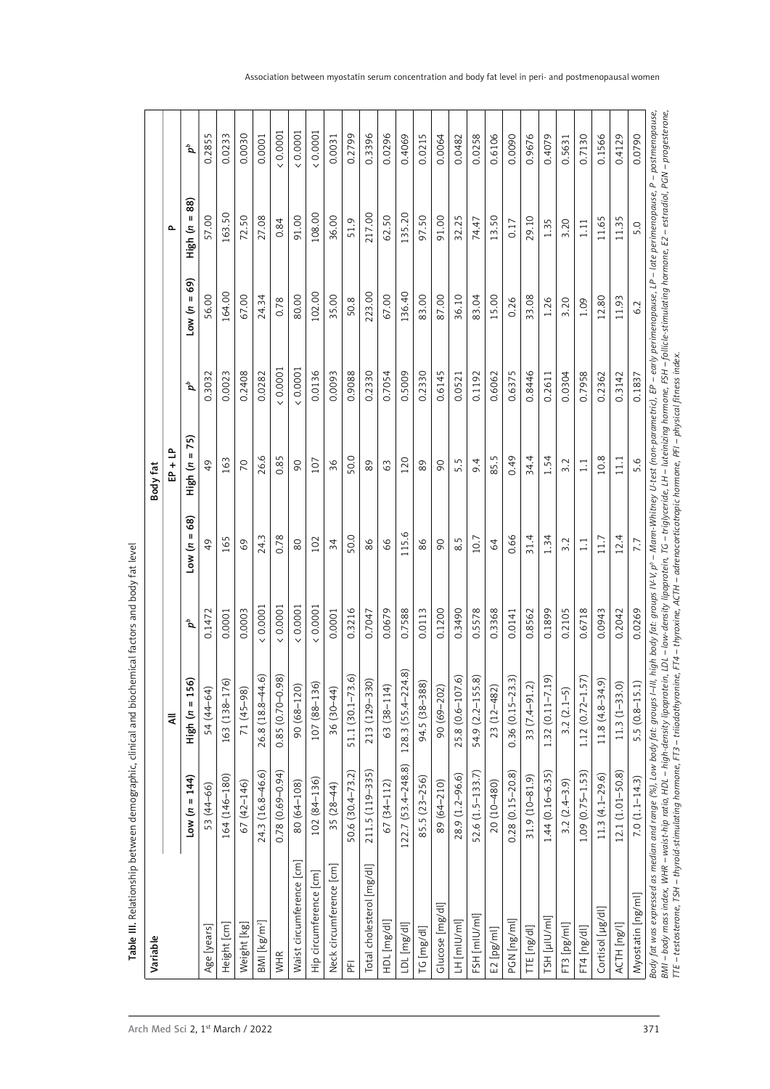|                           |                      | ₹                                             |            |                 | 만 + 다            |            |               | Δ.              |                  |
|---------------------------|----------------------|-----------------------------------------------|------------|-----------------|------------------|------------|---------------|-----------------|------------------|
|                           | $Low (n = 144)$      | ଜ<br>High (n = 15)                            | $\sigma^a$ | $10w(n = 68)$   | $H$ igh (n = 75) | $\sigma^a$ | $10w(n = 69)$ | $High (n = 88)$ | $\boldsymbol{d}$ |
| Age [years]               | 53 (44-66)           | 54 (44-64)                                    | 0.1472     | 49              | $\overline{6}$   | 0.3032     | 56.00         | 57.00           | 0.2855           |
| Height [cm]               | 164 (146-180)        | <u>ଜ</u><br>163 (138-17                       | 0.0001     | 165             | 163              | 0.0023     | 164.00        | 163.50          | 0.0233           |
| Weight [kg]               | 67 (42-146)          | 71 (45-98)                                    | 0.0003     | 69              | 70               | 0.2408     | 67.00         | 72.50           | 0.0030           |
| $BM [kg/m^2]$             | 24.3 (16.8-46.6)     | ତି<br>26.8 (18.8-44.                          | (0.0001)   | 24.3            | 26.6             | 0.0282     | 24.34         | 27.08           | 0.0001           |
| <b>WHR</b>                | $0.78(0.69 - 0.94)$  | $\widehat{\infty}$<br>$0.85(0.70-0.9$         | (0.0001)   | 0.78            | 0.85             | (0.0007)   | 0.78          | 0.84            | (0.0001)         |
| Waist circumference [cm]  | 80 (64-108)          | $(68 - 120)$<br>00                            | (0.0001)   | $80$            | $\infty$         | 0.0007     | 80.00         | 91.00           | (0.0001)         |
| Hip circumference [cm]    | $102(84-136)$        | 107 (88-136)                                  | 0.0001     | 102             | 107              | 0.0136     | 102.00        | 108.00          | 0.0001           |
| Neck circumference [cm]   | $35(28-44)$          | 36 (30-44)                                    | 0.0001     | $\overline{34}$ | 36               | 0.0093     | 35.00         | 36.00           | 0.0031           |
| 푼                         | $50.6(30.4 - 73.2)$  | <u>ଚ</u><br>51.1 (30.1-73)                    | 0.3216     | 50.0            | 50.0             | 0.9088     | 50.8          | 51.9            | 0.2799           |
| Total cholesterol [mg/dl] | 211.5 (119-335)      | 213 (129-330)                                 | 0.7047     | $86$            | 89               | 0.2330     | 223.00        | 217.00          | 0.3396           |
| HDL [mg/dl]               | $67(34 - 112)$       | 63 (38-114)                                   | 0.0679     | 99              | 63               | 0.7054     | 67.00         | 62.50           | 0.0296           |
| LDL [mg/dl]               | 122.7 (53.4-248.8)   | 4.8)<br>128.3 (55.4-22)                       | 0.7588     | 115.6           | 120              | 0.5009     | 136.40        | 135.20          | 0.4069           |
| TG [mg/dl]                | 85.5 (23-256)        | 94.5 (38-388)                                 | 0.0113     | 86              | 89               | 0.2330     | 83.00         | 97.50           | 0.0215           |
| Glucose [mg/dl]           | 89 (64-210)          | 90 (69-202)                                   | 0.1200     | $\overline{6}$  | $\overline{6}$   | 0.6145     | 87.00         | 91.00           | 0.0064           |
| LH [mlU/ml]               | 28.9 (1.2-96.6)      | ତି<br>25.8 (0.6-107                           | 0.3490     | 8.5             | 5.5              | 0.0521     | 36.10         | 32.25           | 0.0482           |
| FSH [mlU/ml]              | 52.6 (1.5-133.7)     | $\widehat{\infty}$<br>54.9 (2.2-155           | 0.5578     | 10.7            | 9.4              | 0.1192     | 83.04         | 74.47           | 0.0258           |
| E2 [pg/ml]                | $20(10-480)$         | $23(12 - 482)$                                | 0.3368     | $\mathcal{Z}$   | 85.5             | 0.6062     | 15.00         | 13.50           | 0.6106           |
| PGN [ng/ml]               | $0.28(0.15 - 20.8)$  | $\widehat{\pi}$<br>$0.36(0.15-23)$            | 0.0141     | 0.66            | 0.49             | 0.6375     | 0.26          | 0.17            | 0.0090           |
| TTE [ng/dl]               | 31.9 (10-81.9)       | 33 (7.4-91.2)                                 | 0.8562     | 31.4            | 34.4             | 0.8446     | 33.08         | 29.10           | 0.9676           |
| TSH [µlU/ml]              | $1.44(0.16 - 6.35)$  | ରି<br>$1.32(0.11 - 7.1)$                      | 0.1899     | 1.34            | 1.54             | 0.2611     | 1.26          | 1.35            | 0.4079           |
| FT3 [pg/ml]               | $3.2(2.4-3.9)$       | $3.2(2.1-5)$                                  | 0.2105     | 3.2             | 3.2              | 0.0304     | 3.20          | 3.20            | 0.5631           |
| FT4 [ng/dl]               | $1.09(0.75 - 1.53)$  | $\widehat{\phantom{a}}$<br>$1.12(0.72 - 1.5)$ | 0.6718     | $\overline{11}$ | $\frac{1}{11}$   | 0.7958     | 1.09          | 1.11            | 0.7130           |
| Cortisol [µg/dl]          | $11.3(4.1-29.6)$     | $11.8(4.8-34.9)$                              | 0.0943     | 11.7            | 10.8             | 0.2362     | 12.80         | 11.65           | 0.1566           |
| ACTH [ng/l]               | $12.1 (1.01 - 50.8)$ | $11.3(1 - 33.0)$                              | 0.2042     | 12.4            | 11.1             | 0.3142     | 11.93         | 11.35           | 0.4129           |
| Myostatin [ng/ml]         | $7.0(1.1 - 14.3)$    | $5.5(0.8-15.1)$                               | 0.0269     | 7.7             | 5.6              | 0.1837     | 6.2           | 5.0             | 0.0790           |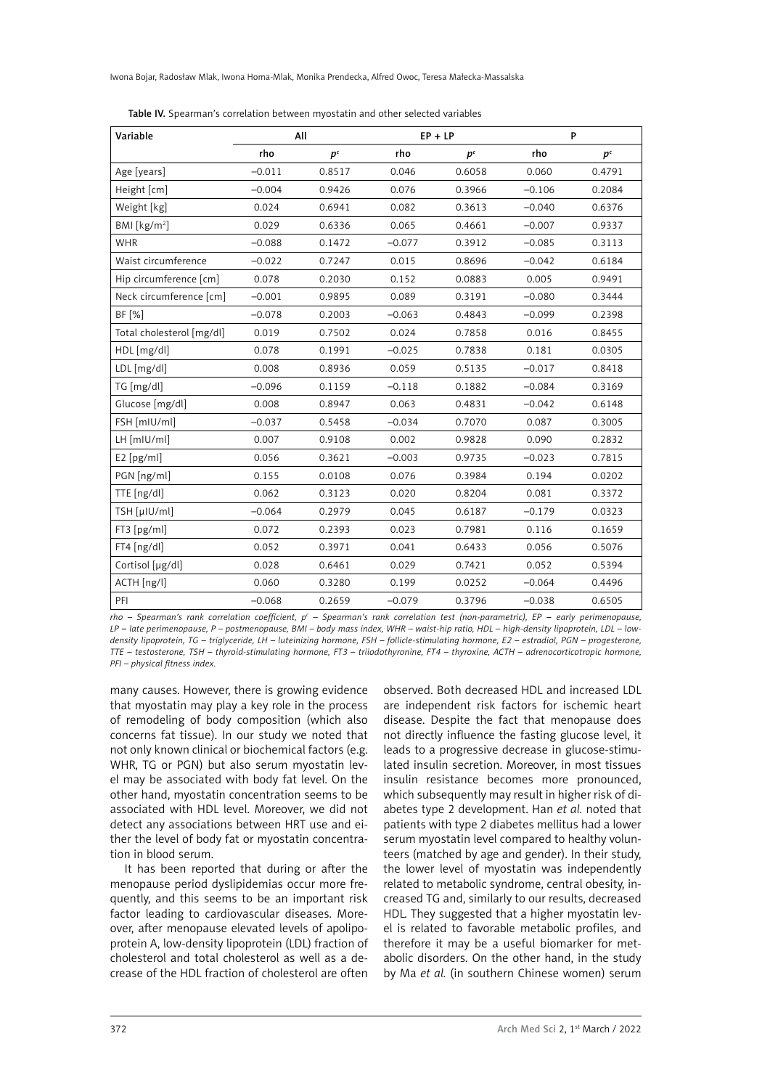Iwona Bojar, Radosław Mlak, Iwona Homa-Mlak, Monika Prendecka, Alfred Owoc, Teresa Małecka-Massalska

| Variable                  |          | All            |          | $EP + LP$ | P        |         |
|---------------------------|----------|----------------|----------|-----------|----------|---------|
|                           | rho      | p <sup>c</sup> | rho      | $p^{c}$   | rho      | $p^{c}$ |
| Age [years]               | $-0.011$ | 0.8517         | 0.046    | 0.6058    | 0.060    | 0.4791  |
| Height [cm]               | $-0.004$ | 0.9426         | 0.076    | 0.3966    | $-0.106$ | 0.2084  |
| Weight [kg]               | 0.024    | 0.6941         | 0.082    | 0.3613    | $-0.040$ | 0.6376  |
| BM [kg/m <sup>2</sup> ]   | 0.029    | 0.6336         | 0.065    | 0.4661    | $-0.007$ | 0.9337  |
| <b>WHR</b>                | $-0.088$ | 0.1472         | $-0.077$ | 0.3912    | $-0.085$ | 0.3113  |
| Waist circumference       | $-0.022$ | 0.7247         | 0.015    | 0.8696    | $-0.042$ | 0.6184  |
| Hip circumference [cm]    | 0.078    | 0.2030         | 0.152    | 0.0883    | 0.005    | 0.9491  |
| Neck circumference [cm]   | $-0.001$ | 0.9895         | 0.089    | 0.3191    | $-0.080$ | 0.3444  |
| BF [%]                    | $-0.078$ | 0.2003         | $-0.063$ | 0.4843    | $-0.099$ | 0.2398  |
| Total cholesterol [mg/dl] | 0.019    | 0.7502         | 0.024    | 0.7858    | 0.016    | 0.8455  |
| HDL [mg/dl]               | 0.078    | 0.1991         | $-0.025$ | 0.7838    | 0.181    | 0.0305  |
| LDL [mg/dl]               | 0.008    | 0.8936         | 0.059    | 0.5135    | $-0.017$ | 0.8418  |
| TG [mg/dl]                | $-0.096$ | 0.1159         | $-0.118$ | 0.1882    | $-0.084$ | 0.3169  |
| Glucose [mg/dl]           | 0.008    | 0.8947         | 0.063    | 0.4831    | $-0.042$ | 0.6148  |
| FSH [mIU/ml]              | $-0.037$ | 0.5458         | $-0.034$ | 0.7070    | 0.087    | 0.3005  |
| LH [mIU/ml]               | 0.007    | 0.9108         | 0.002    | 0.9828    | 0.090    | 0.2832  |
| E2[pg/ml]                 | 0.056    | 0.3621         | $-0.003$ | 0.9735    | $-0.023$ | 0.7815  |
| PGN [ng/ml]               | 0.155    | 0.0108         | 0.076    | 0.3984    | 0.194    | 0.0202  |
| TTE [ng/dl]               | 0.062    | 0.3123         | 0.020    | 0.8204    | 0.081    | 0.3372  |
| TSH [µIU/ml]              | $-0.064$ | 0.2979         | 0.045    | 0.6187    | $-0.179$ | 0.0323  |
| FT3 [pg/ml]               | 0.072    | 0.2393         | 0.023    | 0.7981    | 0.116    | 0.1659  |
| FT4 [ng/dl]               | 0.052    | 0.3971         | 0.041    | 0.6433    | 0.056    | 0.5076  |
| Cortisol [µg/dl]          | 0.028    | 0.6461         | 0.029    | 0.7421    | 0.052    | 0.5394  |
| ACTH [ng/l]               | 0.060    | 0.3280         | 0.199    | 0.0252    | $-0.064$ | 0.4496  |
| PFI                       | $-0.068$ | 0.2659         | $-0.079$ | 0.3796    | $-0.038$ | 0.6505  |

Table IV. Spearman's correlation between myostatin and other selected variables

*rho – Spearman's rank correlation coefficient, pc – Spearman's rank correlation test (non-parametric), EP* – *early perimenopause, LP* – *late perimenopause, P – postmenopause, BMI – body mass index, WHR – waist-hip ratio, HDL – high-density lipoprotein, LDL – lowdensity lipoprotein, TG – triglyceride, LH – luteinizing hormone, FSH – follicle-stimulating hormone, E2 – estradiol, PGN – progesterone, TTE – testosterone, TSH – thyroid-stimulating hormone, FT3 – triiodothyronine, FT4 – thyroxine, ACTH – adrenocorticotropic hormone, PFI – physical fitness index.*

many causes. However, there is growing evidence that myostatin may play a key role in the process of remodeling of body composition (which also concerns fat tissue). In our study we noted that not only known clinical or biochemical factors (e.g. WHR, TG or PGN) but also serum myostatin level may be associated with body fat level. On the other hand, myostatin concentration seems to be associated with HDL level. Moreover, we did not detect any associations between HRT use and either the level of body fat or myostatin concentration in blood serum.

It has been reported that during or after the menopause period dyslipidemias occur more frequently, and this seems to be an important risk factor leading to cardiovascular diseases. Moreover, after menopause elevated levels of apolipoprotein A, low-density lipoprotein (LDL) fraction of cholesterol and total cholesterol as well as a decrease of the HDL fraction of cholesterol are often

observed. Both decreased HDL and increased LDL are independent risk factors for ischemic heart disease. Despite the fact that menopause does not directly influence the fasting glucose level, it leads to a progressive decrease in glucose-stimulated insulin secretion. Moreover, in most tissues insulin resistance becomes more pronounced, which subsequently may result in higher risk of diabetes type 2 development. Han *et al.* noted that patients with type 2 diabetes mellitus had a lower serum myostatin level compared to healthy volunteers (matched by age and gender). In their study, the lower level of myostatin was independently related to metabolic syndrome, central obesity, increased TG and, similarly to our results, decreased HDL. They suggested that a higher myostatin level is related to favorable metabolic profiles, and therefore it may be a useful biomarker for metabolic disorders. On the other hand, in the study by Ma *et al.* (in southern Chinese women) serum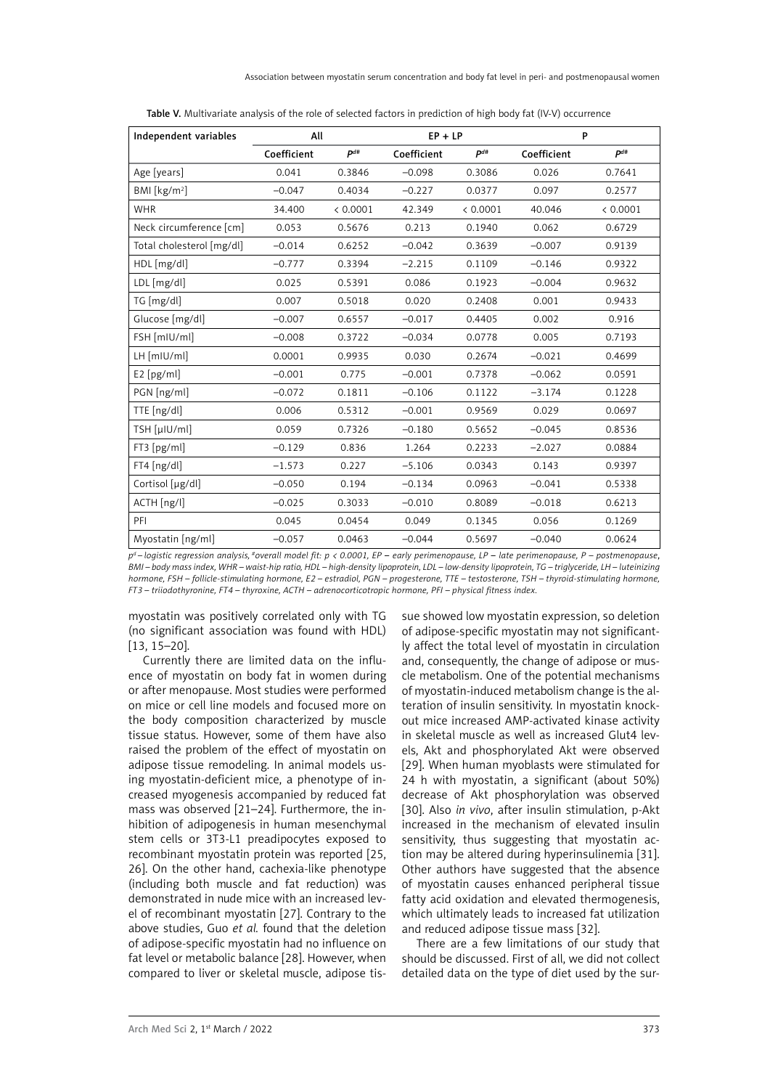| Independent variables     | All         |          | $EP + LP$   |          | P           |          |
|---------------------------|-------------|----------|-------------|----------|-------------|----------|
|                           | Coefficient | $P^{d#}$ | Coefficient | $P^{d#}$ | Coefficient | $P^{d#}$ |
| Age [years]               | 0.041       | 0.3846   | $-0.098$    | 0.3086   | 0.026       | 0.7641   |
| BMI [kg/m <sup>2</sup> ]  | $-0.047$    | 0.4034   | $-0.227$    | 0.0377   | 0.097       | 0.2577   |
| <b>WHR</b>                | 34.400      | < 0.0001 | 42.349      | < 0.0001 | 40.046      | < 0.0001 |
| Neck circumference [cm]   | 0.053       | 0.5676   | 0.213       | 0.1940   | 0.062       | 0.6729   |
| Total cholesterol [mg/dl] | $-0.014$    | 0.6252   | $-0.042$    | 0.3639   | $-0.007$    | 0.9139   |
| HDL [mg/dl]               | $-0.777$    | 0.3394   | $-2.215$    | 0.1109   | $-0.146$    | 0.9322   |
| LDL [mg/dl]               | 0.025       | 0.5391   | 0.086       | 0.1923   | $-0.004$    | 0.9632   |
| TG [mg/dl]                | 0.007       | 0.5018   | 0.020       | 0.2408   | 0.001       | 0.9433   |
| Glucose [mg/dl]           | $-0.007$    | 0.6557   | $-0.017$    | 0.4405   | 0.002       | 0.916    |
| FSH [mIU/ml]              | $-0.008$    | 0.3722   | $-0.034$    | 0.0778   | 0.005       | 0.7193   |
| LH [mIU/ml]               | 0.0001      | 0.9935   | 0.030       | 0.2674   | $-0.021$    | 0.4699   |
| E2[pg/ml]                 | $-0.001$    | 0.775    | $-0.001$    | 0.7378   | $-0.062$    | 0.0591   |
| PGN [ng/ml]               | $-0.072$    | 0.1811   | $-0.106$    | 0.1122   | $-3.174$    | 0.1228   |
| TTE [ng/dl]               | 0.006       | 0.5312   | $-0.001$    | 0.9569   | 0.029       | 0.0697   |
| TSH [µIU/ml]              | 0.059       | 0.7326   | $-0.180$    | 0.5652   | $-0.045$    | 0.8536   |
| FT3 [pg/ml]               | $-0.129$    | 0.836    | 1.264       | 0.2233   | $-2.027$    | 0.0884   |
| $FT4$ [ng/dl]             | $-1.573$    | 0.227    | $-5.106$    | 0.0343   | 0.143       | 0.9397   |
| Cortisol [µg/dl]          | $-0.050$    | 0.194    | $-0.134$    | 0.0963   | $-0.041$    | 0.5338   |
| ACTH [ng/l]               | $-0.025$    | 0.3033   | $-0.010$    | 0.8089   | $-0.018$    | 0.6213   |
| PFI                       | 0.045       | 0.0454   | 0.049       | 0.1345   | 0.056       | 0.1269   |
| Myostatin [ng/ml]         | $-0.057$    | 0.0463   | $-0.044$    | 0.5697   | $-0.040$    | 0.0624   |

Table V. Multivariate analysis of the role of selected factors in prediction of high body fat (IV-V) occurrence

*pd – logistic regression analysis, #overall model fit: p < 0.0001, EP* – *early perimenopause, LP* – *late perimenopause, P – postmenopause*, *BMI – body mass index, WHR – waist-hip ratio, HDL – high-density lipoprotein, LDL – low-density lipoprotein, TG – triglyceride, LH – luteinizing hormone, FSH – follicle-stimulating hormone, E2 – estradiol, PGN – progesterone, TTE – testosterone, TSH – thyroid-stimulating hormone, FT3 – triiodothyronine, FT4 – thyroxine, ACTH – adrenocorticotropic hormone, PFI – physical fitness index.*

myostatin was positively correlated only with TG (no significant association was found with HDL) [13, 15–20].

Currently there are limited data on the influence of myostatin on body fat in women during or after menopause. Most studies were performed on mice or cell line models and focused more on the body composition characterized by muscle tissue status. However, some of them have also raised the problem of the effect of myostatin on adipose tissue remodeling. In animal models using myostatin-deficient mice, a phenotype of increased myogenesis accompanied by reduced fat mass was observed [21–24]. Furthermore, the inhibition of adipogenesis in human mesenchymal stem cells or 3T3-L1 preadipocytes exposed to recombinant myostatin protein was reported [25, 26]. On the other hand, cachexia-like phenotype (including both muscle and fat reduction) was demonstrated in nude mice with an increased level of recombinant myostatin [27]. Contrary to the above studies, Guo *et al.* found that the deletion of adipose-specific myostatin had no influence on fat level or metabolic balance [28]. However, when compared to liver or skeletal muscle, adipose tis-

sue showed low myostatin expression, so deletion of adipose-specific myostatin may not significantly affect the total level of myostatin in circulation and, consequently, the change of adipose or muscle metabolism. One of the potential mechanisms of myostatin-induced metabolism change is the alteration of insulin sensitivity. In myostatin knockout mice increased AMP-activated kinase activity in skeletal muscle as well as increased Glut4 levels, Akt and phosphorylated Akt were observed [29]. When human myoblasts were stimulated for 24 h with myostatin, a significant (about 50%) decrease of Akt phosphorylation was observed [30]. Also *in vivo*, after insulin stimulation, p-Akt increased in the mechanism of elevated insulin sensitivity, thus suggesting that myostatin action may be altered during hyperinsulinemia [31]. Other authors have suggested that the absence of myostatin causes enhanced peripheral tissue fatty acid oxidation and elevated thermogenesis, which ultimately leads to increased fat utilization and reduced adipose tissue mass [32].

There are a few limitations of our study that should be discussed. First of all, we did not collect detailed data on the type of diet used by the sur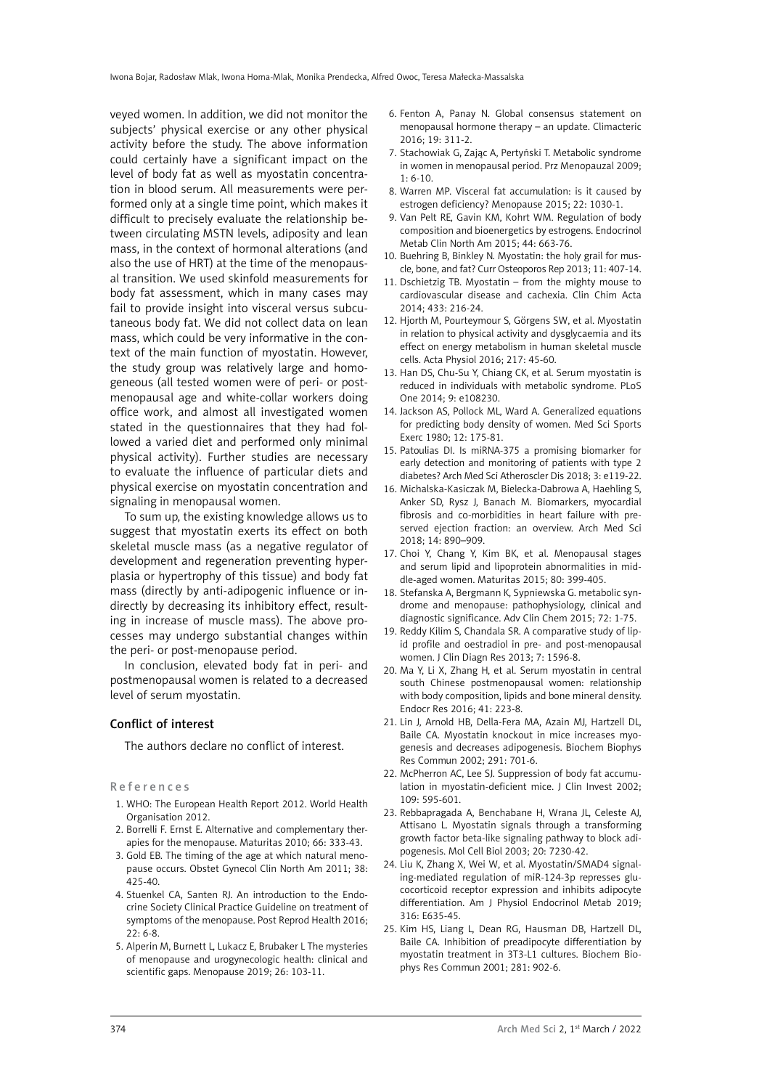veyed women. In addition, we did not monitor the subjects' physical exercise or any other physical activity before the study. The above information could certainly have a significant impact on the level of body fat as well as myostatin concentration in blood serum. All measurements were performed only at a single time point, which makes it difficult to precisely evaluate the relationship between circulating MSTN levels, adiposity and lean mass, in the context of hormonal alterations (and also the use of HRT) at the time of the menopausal transition. We used skinfold measurements for body fat assessment, which in many cases may fail to provide insight into visceral versus subcutaneous body fat. We did not collect data on lean mass, which could be very informative in the context of the main function of myostatin. However, the study group was relatively large and homogeneous (all tested women were of peri- or postmenopausal age and white-collar workers doing office work, and almost all investigated women stated in the questionnaires that they had followed a varied diet and performed only minimal physical activity). Further studies are necessary to evaluate the influence of particular diets and physical exercise on myostatin concentration and signaling in menopausal women.

To sum up, the existing knowledge allows us to suggest that myostatin exerts its effect on both skeletal muscle mass (as a negative regulator of development and regeneration preventing hyperplasia or hypertrophy of this tissue) and body fat mass (directly by anti-adipogenic influence or indirectly by decreasing its inhibitory effect, resulting in increase of muscle mass). The above processes may undergo substantial changes within the peri- or post-menopause period.

In conclusion, elevated body fat in peri- and postmenopausal women is related to a decreased level of serum myostatin.

### Conflict of interest

The authors declare no conflict of interest.

References

- 1. WHO: The European Health Report 2012. World Health Organisation 2012.
- 2. Borrelli F. Ernst E. Alternative and complementary therapies for the menopause. Maturitas 2010; 66: 333-43.
- 3. Gold EB. The timing of the age at which natural menopause occurs. Obstet Gynecol Clin North Am 2011; 38: 425-40.
- 4. Stuenkel CA, Santen RJ. An introduction to the Endocrine Society Clinical Practice Guideline on treatment of symptoms of the menopause. Post Reprod Health 2016;  $22.6 - 8$
- 5. Alperin M, Burnett L, Lukacz E, Brubaker L The mysteries of menopause and urogynecologic health: clinical and scientific gaps. Menopause 2019; 26: 103-11.
- 6. Fenton A, Panay N. Global consensus statement on menopausal hormone therapy – an update. Climacteric 2016; 19: 311-2.
- 7. Stachowiak G, Zając A, Pertyński T. Metabolic syndrome in women in menopausal period. Prz Menopauzal 2009; 1: 6-10.
- 8. Warren MP. Visceral fat accumulation: is it caused by estrogen deficiency? Menopause 2015; 22: 1030-1.
- 9. Van Pelt RE, Gavin KM, Kohrt WM. Regulation of body composition and bioenergetics by estrogens. Endocrinol Metab Clin North Am 2015; 44: 663-76.
- 10. Buehring B, Binkley N. Myostatin: the holy grail for muscle, bone, and fat? Curr Osteoporos Rep 2013; 11: 407-14.
- 11. Dschietzig TB. Myostatin from the mighty mouse to cardiovascular disease and cachexia. Clin Chim Acta 2014; 433: 216-24.
- 12. Hjorth M, Pourteymour S, Görgens SW, et al. Myostatin in relation to physical activity and dysglycaemia and its effect on energy metabolism in human skeletal muscle cells. Acta Physiol 2016; 217: 45-60.
- 13. Han DS, Chu-Su Y, Chiang CK, et al. Serum myostatin is reduced in individuals with metabolic syndrome. PLoS One 2014; 9: e108230.
- 14. Jackson AS, Pollock ML, Ward A. Generalized equations for predicting body density of women. Med Sci Sports Exerc 1980; 12: 175-81.
- 15. Patoulias DI. Is miRNA-375 a promising biomarker for early detection and monitoring of patients with type 2 diabetes? Arch Med Sci Atheroscler Dis 2018; 3: e119-22.
- 16. Michalska-Kasiczak M, Bielecka-Dabrowa A, Haehling S, Anker SD, Rysz J, Banach M. Biomarkers, myocardial fibrosis and co-morbidities in heart failure with preserved ejection fraction: an overview. Arch Med Sci 2018; 14: 890–909.
- 17. Choi Y, Chang Y, Kim BK, et al. Menopausal stages and serum lipid and lipoprotein abnormalities in middle-aged women. Maturitas 2015; 80: 399-405.
- 18. Stefanska A, Bergmann K, Sypniewska G. metabolic syndrome and menopause: pathophysiology, clinical and diagnostic significance. Adv Clin Chem 2015; 72: 1-75.
- 19. Reddy Kilim S, Chandala SR. A comparative study of lipid profile and oestradiol in pre- and post-menopausal women. J Clin Diagn Res 2013; 7: 1596-8.
- 20. Ma Y, Li X, Zhang H, et al. Serum myostatin in central south Chinese postmenopausal women: relationship with body composition, lipids and bone mineral density. Endocr Res 2016; 41: 223-8.
- 21. Lin J, Arnold HB, Della-Fera MA, Azain MJ, Hartzell DL, Baile CA. Myostatin knockout in mice increases myogenesis and decreases adipogenesis. Biochem Biophys Res Commun 2002; 291: 701-6.
- 22. McPherron AC, Lee SJ. Suppression of body fat accumulation in myostatin-deficient mice. J Clin Invest 2002; 109: 595-601.
- 23. Rebbapragada A, Benchabane H, Wrana JL, Celeste AJ, Attisano L. Myostatin signals through a transforming growth factor beta-like signaling pathway to block adipogenesis. Mol Cell Biol 2003; 20: 7230-42.
- 24. Liu K, Zhang X, Wei W, et al. Myostatin/SMAD4 signaling-mediated regulation of miR-124-3p represses glucocorticoid receptor expression and inhibits adipocyte differentiation. Am J Physiol Endocrinol Metab 2019; 316: E635-45.
- 25. Kim HS, Liang L, Dean RG, Hausman DB, Hartzell DL, Baile CA. Inhibition of preadipocyte differentiation by myostatin treatment in 3T3-L1 cultures. Biochem Biophys Res Commun 2001; 281: 902-6.